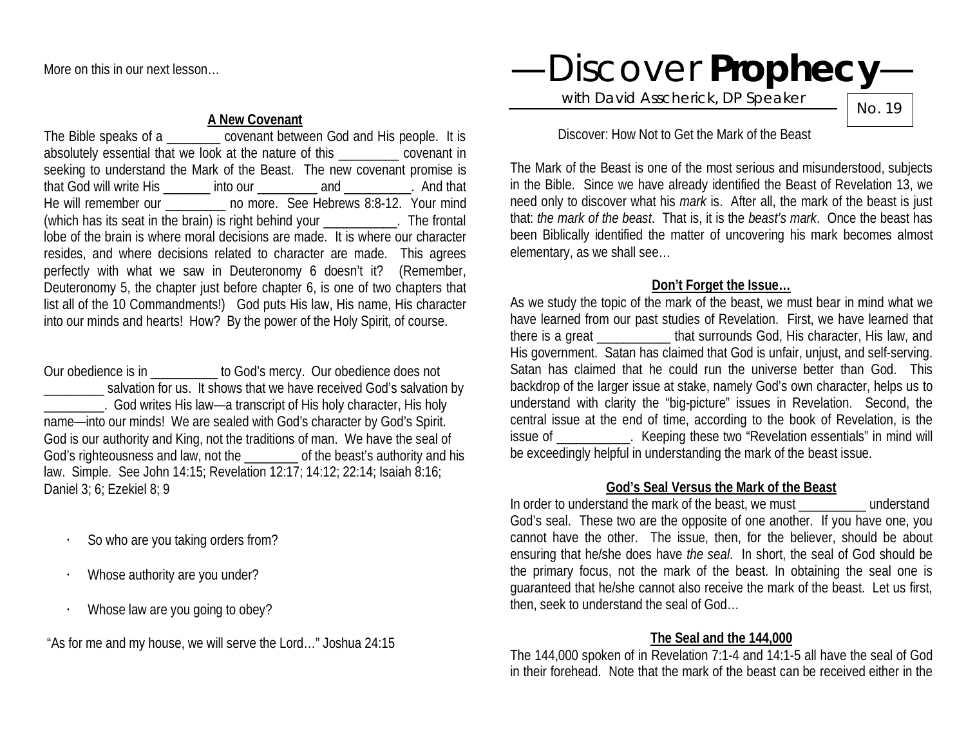More on this in our next lesson…

#### **A New Covenant**

The Bible speaks of a \_\_\_\_\_\_\_\_ covenant between God and His people. It is absolutely essential that we look at the nature of this \_\_\_\_\_\_\_\_\_ covenant in seeking to understand the Mark of the Beast. The new covenant promise is that God will write His \_\_\_\_\_\_\_ into our \_\_\_\_\_\_\_\_\_ and \_\_\_\_\_\_\_\_\_\_. And that He will remember our **compared to more.** See Hebrews 8:8-12. Your mind (which has its seat in the brain) is right behind your \_\_\_\_\_\_\_\_\_\_\_. The frontal lobe of the brain is where moral decisions are made. It is where our character resides, and where decisions related to character are made. This agrees perfectly with what we saw in Deuteronomy 6 doesn't it? (Remember, Deuteronomy 5, the chapter just before chapter 6, is one of two chapters that list all of the 10 Commandments!) God puts His law, His name, His character into our minds and hearts! How? By the power of the Holy Spirit, of course.

Our obedience is in \_\_\_\_\_\_\_\_\_\_ to God's mercy. Our obedience does not salvation for us. It shows that we have received God's salvation by \_\_\_\_\_\_\_\_\_. God writes His law—a transcript of His holy character, His holy name—into our minds! We are sealed with God's character by God's Spirit. God is our authority and King, not the traditions of man. We have the seal of God's righteousness and law, not the \_\_\_\_\_\_\_\_ of the beast's authority and his law. Simple. See John 14:15; Revelation 12:17; 14:12; 22:14; Isaiah 8:16; Daniel 3; 6; Ezekiel 8; 9

- So who are you taking orders from?
- Whose authority are you under?
- Whose law are you going to obey?

"As for me and my house, we will serve the Lord…" Joshua 24:15

—Discover **Prophecy**—

with David Asscherick, DP Speaker

No. 19

#### Discover: How Not to Get the Mark of the Beast

The Mark of the Beast is one of the most serious and misunderstood, subjects in the Bible. Since we have already identified the Beast of Revelation 13, we need only to discover what his *mark* is. After all, the mark of the beast is just that: *the mark of the beast*. That is, it is the *beast's mark*. Once the beast has been Biblically identified the matter of uncovering his mark becomes almost elementary, as we shall see…

# **Don't Forget the Issue…**

As we study the topic of the mark of the beast, we must bear in mind what we have learned from our past studies of Revelation. First, we have learned that there is a great \_\_\_\_\_\_\_\_\_\_\_ that surrounds God, His character, His law, and His government. Satan has claimed that God is unfair, unjust, and self-serving. Satan has claimed that he could run the universe better than God. This backdrop of the larger issue at stake, namely God's own character, helps us to understand with clarity the "big-picture" issues in Revelation. Second, the central issue at the end of time, according to the book of Revelation, is the issue of **Exercise 2.** Keeping these two "Revelation essentials" in mind will be exceedingly helpful in understanding the mark of the beast issue.

### **God's Seal Versus the Mark of the Beast**

In order to understand the mark of the beast, we must electron understand God's seal. These two are the opposite of one another. If you have one, you cannot have the other. The issue, then, for the believer, should be about ensuring that he/she does have *the seal*. In short, the seal of God should be the primary focus, not the mark of the beast. In obtaining the seal one is guaranteed that he/she cannot also receive the mark of the beast. Let us first, then, seek to understand the seal of God…

# **The Seal and the 144,000**

The 144,000 spoken of in Revelation 7:1-4 and 14:1-5 all have the seal of God in their forehead. Note that the mark of the beast can be received either in the